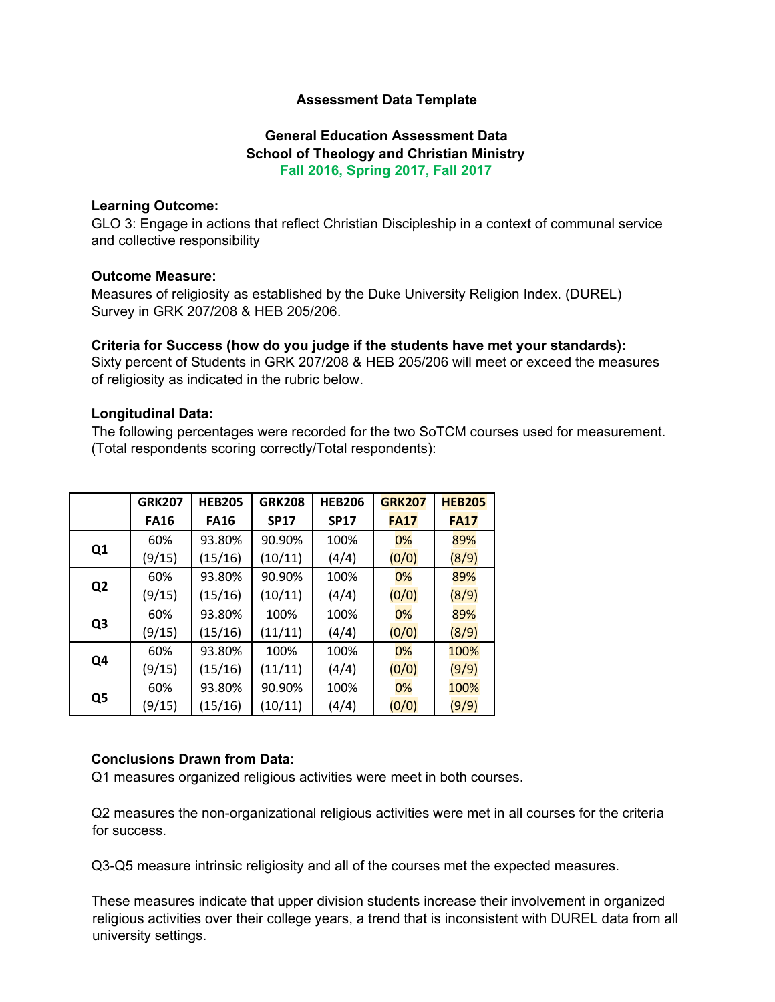### **Assessment Data Template**

# **General Education Assessment Data School of Theology and Christian Ministry Fall 2016, Spring 2017, Fall 2017**

#### **Learning Outcome:**

GLO 3: Engage in actions that reflect Christian Discipleship in a context of communal service and collective responsibility

### **Outcome Measure:**

Measures of religiosity as established by the Duke University Religion Index. (DUREL) Survey in GRK 207/208 & HEB 205/206.

### **Criteria for Success (how do you judge if the students have met your standards):**

Sixty percent of Students in GRK 207/208 & HEB 205/206 will meet or exceed the measures of religiosity as indicated in the rubric below.

### **Longitudinal Data:**

The following percentages were recorded for the two SoTCM courses used for measurement. (Total respondents scoring correctly/Total respondents):

|                | <b>GRK207</b> | <b>HEB205</b> | <b>GRK208</b> | <b>HEB206</b> | <b>GRK207</b> | <b>HEB205</b> |
|----------------|---------------|---------------|---------------|---------------|---------------|---------------|
|                | <b>FA16</b>   | <b>FA16</b>   | <b>SP17</b>   | <b>SP17</b>   | <b>FA17</b>   | <b>FA17</b>   |
| Q <sub>1</sub> | 60%           | 93.80%        | 90.90%        | 100%          | 0%            | 89%           |
|                | (9/15)        | (15/16)       | (10/11)       | (4/4)         | (0/0)         | (8/9)         |
| Q <sub>2</sub> | 60%           | 93.80%        | 90.90%        | 100%          | 0%            | 89%           |
|                | (9/15)        | (15/16)       | (10/11)       | (4/4)         | (0/0)         | (8/9)         |
| Q <sub>3</sub> | 60%           | 93.80%        | 100%          | 100%          | 0%            | 89%           |
|                | (9/15)        | (15/16)       | (11/11)       | (4/4)         | (0/0)         | (8/9)         |
| Q4             | 60%           | 93.80%        | 100%          | 100%          | 0%            | 100%          |
|                | (9/15)        | (15/16)       | (11/11)       | (4/4)         | (0/0)         | (9/9)         |
| Q5             | 60%           | 93.80%        | 90.90%        | 100%          | 0%            | 100%          |
|                | (9/15)        | (15/16)       | (10/11)       | (4/4)         | (0/0)         | (9/9)         |

## **Conclusions Drawn from Data:**

Q1 measures organized religious activities were meet in both courses.

Q2 measures the non-organizational religious activities were met in all courses for the criteria for success.

Q3-Q5 measure intrinsic religiosity and all of the courses met the expected measures.

These measures indicate that upper division students increase their involvement in organized religious activities over their college years, a trend that is inconsistent with DUREL data from all university settings.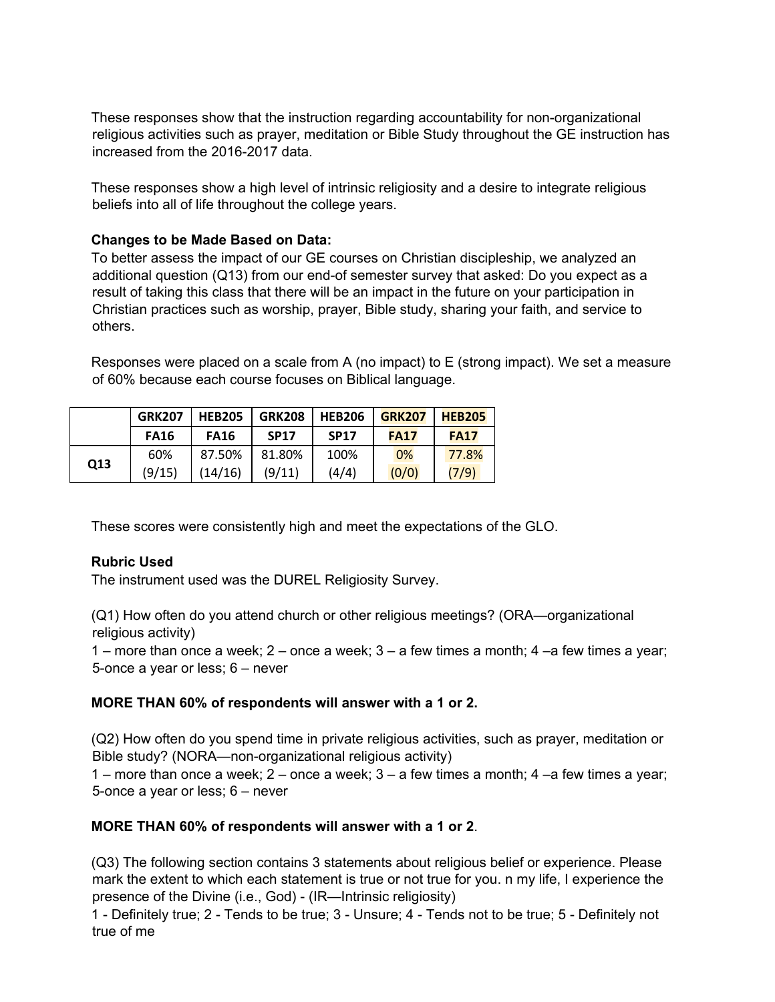These responses show that the instruction regarding accountability for non-organizational religious activities such as prayer, meditation or Bible Study throughout the GE instruction has increased from the 2016-2017 data.

These responses show a high level of intrinsic religiosity and a desire to integrate religious beliefs into all of life throughout the college years.

### **Changes to be Made Based on Data:**

To better assess the impact of our GE courses on Christian discipleship, we analyzed an additional question (Q13) from our end-of semester survey that asked: Do you expect as a result of taking this class that there will be an impact in the future on your participation in Christian practices such as worship, prayer, Bible study, sharing your faith, and service to others.

Responses were placed on a scale from A (no impact) to E (strong impact). We set a measure of 60% because each course focuses on Biblical language.

|     | <b>GRK207</b> | <b>HEB205</b> | <b>GRK208</b> | <b>HEB206</b> | <b>GRK207</b> | <b>HEB205</b> |
|-----|---------------|---------------|---------------|---------------|---------------|---------------|
|     | <b>FA16</b>   | <b>FA16</b>   | <b>SP17</b>   | <b>SP17</b>   | <b>FA17</b>   | <b>FA17</b>   |
| Q13 | 60%           | 87.50%        | 81.80%        | 100%          | 0%            | 77.8%         |
|     | (9/15)        | (14/16)       | (9/11)        | (4/4)         | (0/0)         | (7/9)         |

These scores were consistently high and meet the expectations of the GLO.

#### **Rubric Used**

The instrument used was the DUREL Religiosity Survey.

(Q1) How often do you attend church or other religious meetings? (ORA—organizational religious activity)

1 – more than once a week; 2 – once a week; 3 – a few times a month; 4 –a few times a year; 5-once a year or less; 6 – never

#### **MORE THAN 60% of respondents will answer with a 1 or 2.**

(Q2) How often do you spend time in private religious activities, such as prayer, meditation or Bible study? (NORA—non-organizational religious activity)

1 – more than once a week; 2 – once a week; 3 – a few times a month; 4 –a few times a year; 5-once a year or less; 6 – never

#### **MORE THAN 60% of respondents will answer with a 1 or 2**.

(Q3) The following section contains 3 statements about religious belief or experience. Please mark the extent to which each statement is true or not true for you. n my life, I experience the presence of the Divine (i.e., God) - (IR—Intrinsic religiosity)

1 - Definitely true; 2 - Tends to be true; 3 - Unsure; 4 - Tends not to be true; 5 - Definitely not true of me